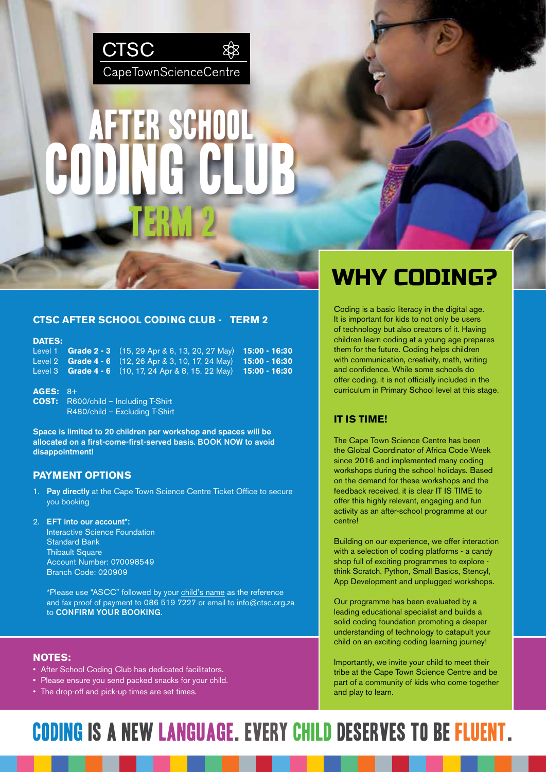

# TERM 2 AFTER SCHOOL CODING CLUB

# **CTSC AFTER SCHOOL CODING CLUB - TERM 2**

# **DATES:**

Level 1 **Grade 2 - 3** (15, 29 Apr & 6, 13, 20, 27 May) **15:00 - 16:30** Level 2 **Grade 4 - 6** (12, 26 Apr & 3, 10, 17, 24 May) **15:00 - 16:30** Level 3 **Grade 4 - 6** (10, 17, 24 Apr & 8, 15, 22 May) **15:00 - 16:30**

**AGES:** 8+ **COST:** R600/child – Including T-Shirt R480/child – Excluding T-Shirt

Space is limited to 20 children per workshop and spaces will be allocated on a first-come-first-served basis. BOOK NOW to avoid disappointment!

### **PAYMENT OPTIONS**

- 1. Pay directly at the Cape Town Science Centre Ticket Office to secure you booking
- 2. EFT into our account\*: Interactive Science Foundation Standard Bank **Thibault Square** Account Number: 070098549 Branch Code: 020909

\*Please use "ASCC" followed by your child's name as the reference and fax proof of payment to 086 519 7227 or email to info@ctsc.org.za to CONFIRM YOUR BOOKING.

#### **NOTES:**

- After School Coding Club has dedicated facilitators.
- Please ensure you send packed snacks for your child.
- The drop-off and pick-up times are set times.

# WHY CODING?

Coding is a basic literacy in the digital age. It is important for kids to not only be users of technology but also creators of it. Having children learn coding at a young age prepares them for the future. Coding helps children with communication, creativity, math, writing and confidence. While some schools do offer coding, it is not officially included in the curriculum in Primary School level at this stage.

# **IT IS TIME!**

The Cape Town Science Centre has been the Global Coordinator of Africa Code Week since 2016 and implemented many coding workshops during the school holidays. Based on the demand for these workshops and the feedback received, it is clear IT IS TIME to offer this highly relevant, engaging and fun activity as an after-school programme at our centre!

Building on our experience, we offer interaction with a selection of coding platforms - a candy shop full of exciting programmes to explore think Scratch, Python, Small Basics, Stencyl, App Development and unplugged workshops.

Our programme has been evaluated by a leading educational specialist and builds a solid coding foundation promoting a deeper understanding of technology to catapult your child on an exciting coding learning journey!

Importantly, we invite your child to meet their tribe at the Cape Town Science Centre and be part of a community of kids who come together and play to learn.

# Coding is A new LANGUAGE. every child deserves to be fluent.